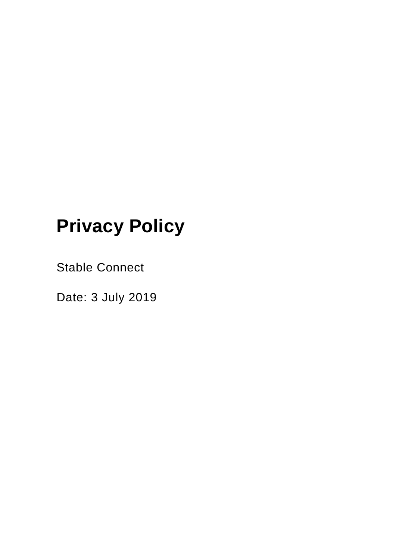# **Privacy Policy**

Stable Connect

Date: 3 July 2019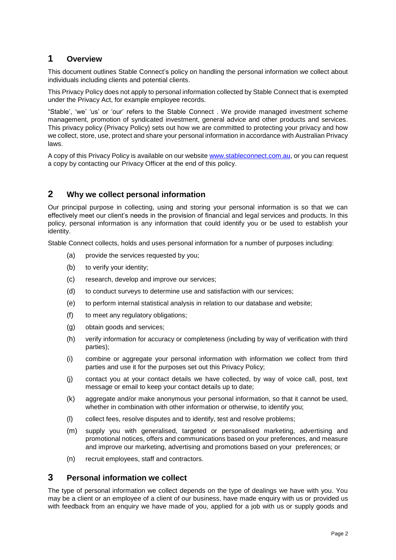## **1 Overview**

This document outlines Stable Connect's policy on handling the personal information we collect about individuals including clients and potential clients.

This Privacy Policy does not apply to personal information collected by Stable Connect that is exempted under the Privacy Act, for example employee records.

"Stable', 'we' 'us' or 'our' refers to the Stable Connect . We provide managed investment scheme management, promotion of syndicated investment, general advice and other products and services. This privacy policy (Privacy Policy) sets out how we are committed to protecting your privacy and how we collect, store, use, protect and share your personal information in accordance with Australian Privacy laws.

A copy of this Privacy Policy is available on our website [www.stableconnect.com.au,](http://www.stableconnect.com.au/) or you can request a copy by contacting our Privacy Officer at the end of this policy.

## **2 Why we collect personal information**

Our principal purpose in collecting, using and storing your personal information is so that we can effectively meet our client's needs in the provision of financial and legal services and products. In this policy, personal information is any information that could identify you or be used to establish your identity.

Stable Connect collects, holds and uses personal information for a number of purposes including:

- (a) provide the services requested by you;
- (b) to verify your identity;
- (c) research, develop and improve our services;
- (d) to conduct surveys to determine use and satisfaction with our services;
- (e) to perform internal statistical analysis in relation to our database and website;
- (f) to meet any regulatory obligations;
- (g) obtain goods and services;
- (h) verify information for accuracy or completeness (including by way of verification with third parties);
- (i) combine or aggregate your personal information with information we collect from third parties and use it for the purposes set out this Privacy Policy;
- (j) contact you at your contact details we have collected, by way of voice call, post, text message or email to keep your contact details up to date;
- (k) aggregate and/or make anonymous your personal information, so that it cannot be used, whether in combination with other information or otherwise, to identify you;
- (l) collect fees, resolve disputes and to identify, test and resolve problems;
- (m) supply you with generalised, targeted or personalised marketing, advertising and promotional notices, offers and communications based on your preferences, and measure and improve our marketing, advertising and promotions based on your preferences; or
- (n) recruit employees, staff and contractors.

### **3 Personal information we collect**

The type of personal information we collect depends on the type of dealings we have with you. You may be a client or an employee of a client of our business, have made enquiry with us or provided us with feedback from an enquiry we have made of you, applied for a job with us or supply goods and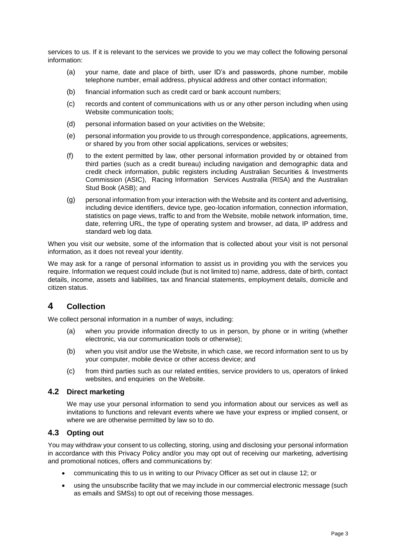services to us. If it is relevant to the services we provide to you we may collect the following personal information:

- (a) your name, date and place of birth, user ID's and passwords, phone number, mobile telephone number, email address, physical address and other contact information;
- (b) financial information such as credit card or bank account numbers;
- (c) records and content of communications with us or any other person including when using Website communication tools;
- (d) personal information based on your activities on the Website;
- (e) personal information you provide to us through correspondence, applications, agreements, or shared by you from other social applications, services or websites;
- (f) to the extent permitted by law, other personal information provided by or obtained from third parties (such as a credit bureau) including navigation and demographic data and credit check information, public registers including Australian Securities & Investments Commission (ASIC), Racing Information Services Australia (RISA) and the Australian Stud Book (ASB); and
- (g) personal information from your interaction with the Website and its content and advertising, including device identifiers, device type, geo-location information, connection information, statistics on page views, traffic to and from the Website, mobile network information, time, date, referring URL, the type of operating system and browser, ad data, IP address and standard web log data.

When you visit our website, some of the information that is collected about your visit is not personal information, as it does not reveal your identity.

We may ask for a range of personal information to assist us in providing you with the services you require. Information we request could include (but is not limited to) name, address, date of birth, contact details, income, assets and liabilities, tax and financial statements, employment details, domicile and citizen status.

# **4 Collection**

We collect personal information in a number of ways, including:

- (a) when you provide information directly to us in person, by phone or in writing (whether electronic, via our communication tools or otherwise);
- (b) when you visit and/or use the Website, in which case, we record information sent to us by your computer, mobile device or other access device; and
- (c) from third parties such as our related entities, service providers to us, operators of linked websites, and enquiries on the Website.

#### **4.2 Direct marketing**

We may use your personal information to send you information about our services as well as invitations to functions and relevant events where we have your express or implied consent, or where we are otherwise permitted by law so to do.

#### <span id="page-2-0"></span>**4.3 Opting out**

You may withdraw your consent to us collecting, storing, using and disclosing your personal information in accordance with this Privacy Policy and/or you may opt out of receiving our marketing, advertising and promotional notices, offers and communications by:

- communicating this to us in writing to our Privacy Officer as set out in clause 12; or
- using the unsubscribe facility that we may include in our commercial electronic message (such as emails and SMSs) to opt out of receiving those messages.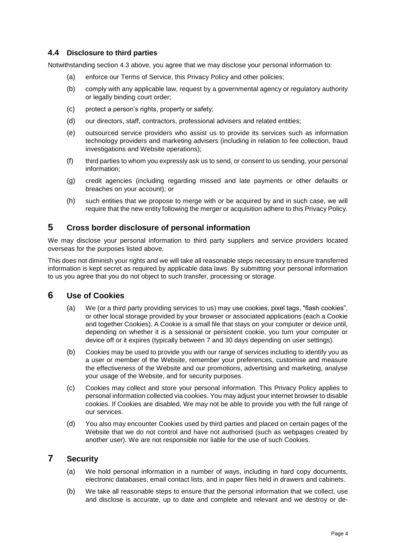#### **4.4 Disclosure to third parties**

Notwithstanding section 4.3 [above,](#page-2-0) you agree that we may disclose your personal information to:

- (a) enforce our Terms of Service, this Privacy Policy and other policies;
- (b) comply with any applicable law, request by a governmental agency or regulatory authority or legally binding court order;
- (c) protect a person's rights, property or safety;
- (d) our directors, staff, contractors, professional advisers and related entities;
- (e) outsourced service providers who assist us to provide its services such as information technology providers and marketing advisers (including in relation to fee collection, fraud investigations and Website operations);
- (f) third parties to whom you expressly ask us to send, or consent to us sending, your personal information;
- (g) credit agencies (including regarding missed and late payments or other defaults or breaches on your account); or
- (h) such entities that we propose to merge with or be acquired by and in such case, we will require that the new entity following the merger or acquisition adhere to this Privacy Policy.

## **5 Cross border disclosure of personal information**

We may disclose your personal information to third party suppliers and service providers located overseas for the purposes listed above.

This does not diminish your rights and we will take all reasonable steps necessary to ensure transferred information is kept secret as required by applicable data laws. By submitting your personal information to us you agree that you do not object to such transfer, processing or storage.

# **6 Use of Cookies**

- (a) We (or a third party providing services to us) may use cookies, pixel tags, "flash cookies", or other local storage provided by your browser or associated applications (each a Cookie and together Cookies). A Cookie is a small file that stays on your computer or device until, depending on whether it is a sessional or persistent cookie, you turn your computer or device off or it expires (typically between 7 and 30 days depending on user settings).
- (b) Cookies may be used to provide you with our range of services including to identify you as a user or member of the Website, remember your preferences, customise and measure the effectiveness of the Website and our promotions, advertising and marketing, analyse your usage of the Website, and for security purposes.
- (c) Cookies may collect and store your personal information. This Privacy Policy applies to personal information collected via cookies. You may adjust your internet browser to disable cookies. If Cookies are disabled, We may not be able to provide you with the full range of our services.
- (d) You also may encounter Cookies used by third parties and placed on certain pages of the Website that we do not control and have not authorised (such as webpages created by another user). We are not responsible nor liable for the use of such Cookies.

# **7 Security**

- (a) We hold personal information in a number of ways, including in hard copy documents, electronic databases, email contact lists, and in paper files held in drawers and cabinets.
- (b) We take all reasonable steps to ensure that the personal information that we collect, use and disclose is accurate, up to date and complete and relevant and we destroy or de-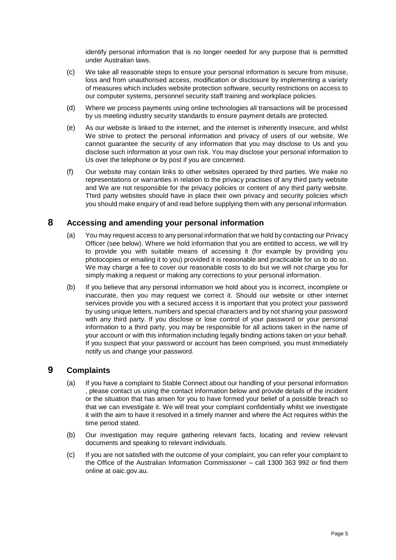identify personal information that is no longer needed for any purpose that is permitted under Australian laws.

- (c) We take all reasonable steps to ensure your personal information is secure from misuse, loss and from unauthorised access, modification or disclosure by implementing a variety of measures which includes website protection software, security restrictions on access to our computer systems, personnel security staff training and workplace policies.
- (d) Where we process payments using online technologies all transactions will be processed by us meeting industry security standards to ensure payment details are protected.
- (e) As our website is linked to the internet, and the internet is inherently insecure, and whilst We strive to protect the personal information and privacy of users of our website, We cannot guarantee the security of any information that you may disclose to Us and you disclose such information at your own risk. You may disclose your personal information to Us over the telephone or by post if you are concerned.
- (f) Our website may contain links to other websites operated by third parties. We make no representations or warranties in relation to the privacy practises of any third party website and We are not responsible for the privacy policies or content of any third party website. Third party websites should have in place their own privacy and security policies which you should make enquiry of and read before supplying them with any personal information.

#### **8 Accessing and amending your personal information**

- (a) You may request access to any personal information that we hold by contacting our Privacy Officer (see below). Where we hold information that you are entitled to access, we will try to provide you with suitable means of accessing it (for example by providing you photocopies or emailing it to you) provided it is reasonable and practicable for us to do so. We may charge a fee to cover our reasonable costs to do but we will not charge you for simply making a request or making any corrections to your personal information.
- (b) If you believe that any personal information we hold about you is incorrect, incomplete or inaccurate, then you may request we correct it. Should our website or other internet services provide you with a secured access it is important that you protect your password by using unique letters, numbers and special characters and by not sharing your password with any third party. If you disclose or lose control of your password or your personal information to a third party, you may be responsible for all actions taken in the name of your account or with this information including legally binding actions taken on your behalf. If you suspect that your password or account has been comprised, you must immediately notify us and change your password.

#### **9 Complaints**

- (a) If you have a complaint to Stable Connect about our handling of your personal information , please contact us using the contact information below and provide details of the incident or the situation that has arisen for you to have formed your belief of a possible breach so that we can investigate it. We will treat your complaint confidentially whilst we investigate it with the aim to have it resolved in a timely manner and where the Act requires within the time period stated.
- (b) Our investigation may require gathering relevant facts, locating and review relevant documents and speaking to relevant individuals.
- (c) If you are not satisfied with the outcome of your complaint, you can refer your complaint to the Office of the Australian Information Commissioner – call 1300 363 992 or find them online at oaic.gov.au.